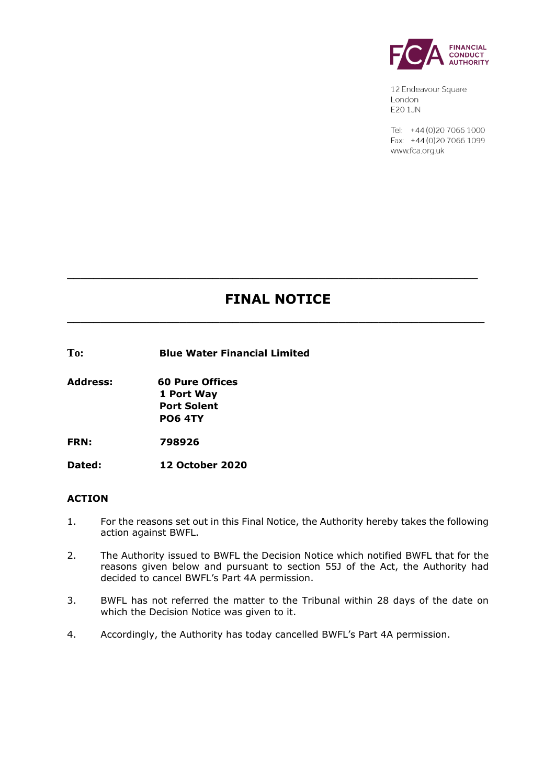

12 Endeavour Square London E201JN

Tel: +44 (0) 20 7066 1000 Fax: +44 (0) 20 7066 1099 www.fca.org.uk

# **FINAL NOTICE**

**\_\_\_\_\_\_\_\_\_\_\_\_\_\_\_\_\_\_\_\_\_\_\_\_\_\_\_\_\_\_\_\_\_\_\_\_\_\_\_\_\_\_\_\_\_\_\_\_\_\_\_\_\_\_\_\_\_\_\_\_\_\_\_**

**\_\_\_\_\_\_\_\_\_\_\_\_\_\_\_\_\_\_\_\_\_\_\_\_\_\_\_\_\_\_\_\_\_\_\_\_\_\_\_\_\_\_\_\_\_\_\_\_\_\_\_\_\_\_\_\_\_\_\_\_\_\_**

**To: Blue Water Financial Limited** 

**Address: 60 Pure Offices 1 Port Way Port Solent PO6 4TY**

**FRN: 798926**

**Dated: 12 October 2020**

#### **ACTION**

- 1. For the reasons set out in this Final Notice, the Authority hereby takes the following action against BWFL.
- 2. The Authority issued to BWFL the Decision Notice which notified BWFL that for the reasons given below and pursuant to section 55J of the Act, the Authority had decided to cancel BWFL's Part 4A permission.
- 3. BWFL has not referred the matter to the Tribunal within 28 days of the date on which the Decision Notice was given to it.
- 4. Accordingly, the Authority has today cancelled BWFL's Part 4A permission.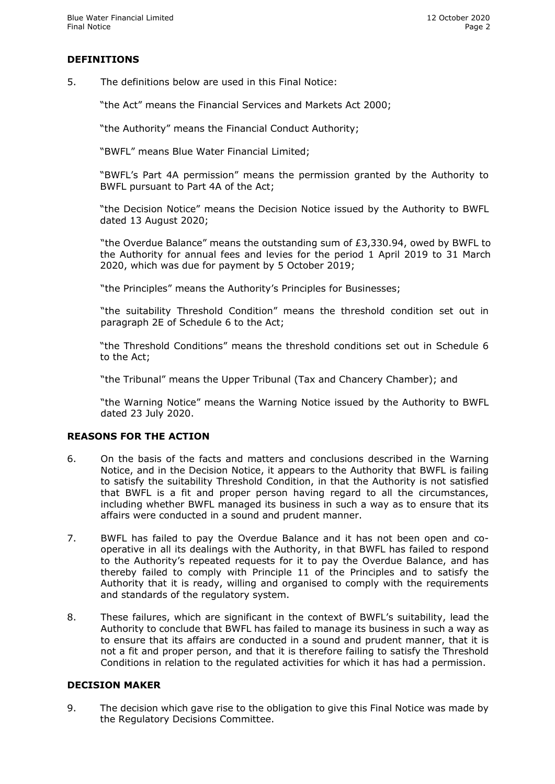## **DEFINITIONS**

5. The definitions below are used in this Final Notice:

"the Act" means the Financial Services and Markets Act 2000;

"the Authority" means the Financial Conduct Authority;

"BWFL" means Blue Water Financial Limited;

"BWFL's Part 4A permission" means the permission granted by the Authority to BWFL pursuant to Part 4A of the Act;

"the Decision Notice" means the Decision Notice issued by the Authority to BWFL dated 13 August 2020;

"the Overdue Balance" means the outstanding sum of £3,330.94, owed by BWFL to the Authority for annual fees and levies for the period 1 April 2019 to 31 March 2020, which was due for payment by 5 October 2019;

"the Principles" means the Authority's Principles for Businesses;

"the suitability Threshold Condition" means the threshold condition set out in paragraph 2E of Schedule 6 to the Act;

"the Threshold Conditions" means the threshold conditions set out in Schedule 6 to the Act;

"the Tribunal" means the Upper Tribunal (Tax and Chancery Chamber); and

"the Warning Notice" means the Warning Notice issued by the Authority to BWFL dated 23 July 2020.

## **REASONS FOR THE ACTION**

- 6. On the basis of the facts and matters and conclusions described in the Warning Notice, and in the Decision Notice, it appears to the Authority that BWFL is failing to satisfy the suitability Threshold Condition, in that the Authority is not satisfied that BWFL is a fit and proper person having regard to all the circumstances, including whether BWFL managed its business in such a way as to ensure that its affairs were conducted in a sound and prudent manner.
- 7. BWFL has failed to pay the Overdue Balance and it has not been open and cooperative in all its dealings with the Authority, in that BWFL has failed to respond to the Authority's repeated requests for it to pay the Overdue Balance, and has thereby failed to comply with Principle 11 of the Principles and to satisfy the Authority that it is ready, willing and organised to comply with the requirements and standards of the regulatory system.
- 8. These failures, which are significant in the context of BWFL's suitability, lead the Authority to conclude that BWFL has failed to manage its business in such a way as to ensure that its affairs are conducted in a sound and prudent manner, that it is not a fit and proper person, and that it is therefore failing to satisfy the Threshold Conditions in relation to the regulated activities for which it has had a permission.

#### **DECISION MAKER**

9. The decision which gave rise to the obligation to give this Final Notice was made by the Regulatory Decisions Committee.